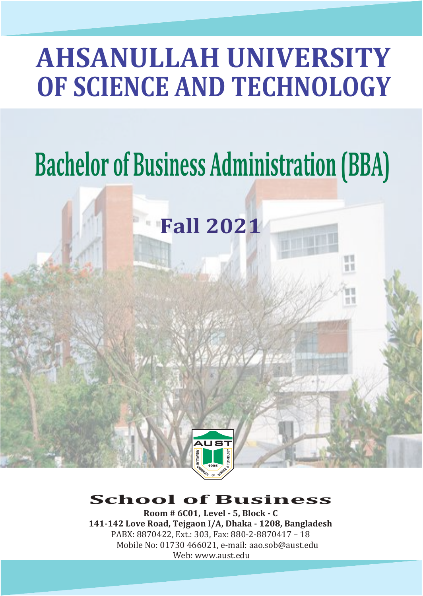# **AHSANULLAH UNIVERSITY OF SCIENCE AND TECHNOLOGY**

# **Bachelor of Business Administration (BBA)**

**Fall 2021**

10<sup>T</sup> o ti



# **School of Business**

**Room # 6C01, Level - 5, Block - C 141-142 Love Road, Tejgaon I/A, Dhaka - 1208, Bangladesh** PABX: 8870422, Ext.: 303, Fax: 880-2-8870417 – 18 Mobile No: 01730 466021, e-mail: aao.sob@aust.edu Web: www.aust.edu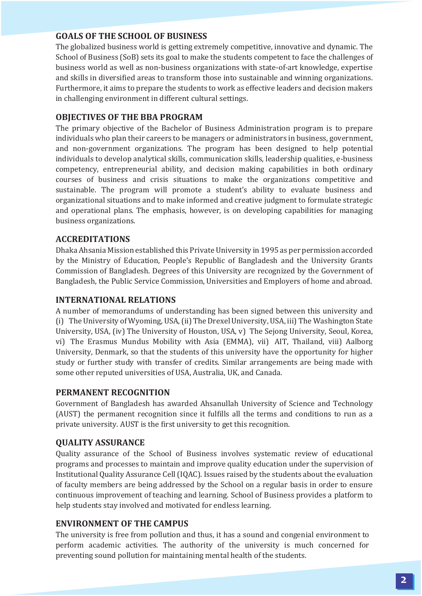#### **GOALS OF THE SCHOOL OF BUSINESS**

The globalized business world is getting extremely competitive, innovative and dynamic. The School of Business (SoB) sets its goal to make the students competent to face the challenges of business world as well as non-business organizations with state-of-art knowledge, expertise and skills in diversified areas to transform those into sustainable and winning organizations. Furthermore, it aims to prepare the students to work as effective leaders and decision makers in challenging environment in different cultural settings.

#### **OBJECTIVES OF THE BBA PROGRAM**

The primary objective of the Bachelor of Business Administration program is to prepare individuals who plan their careers to be managers or administrators in business, government, and non-government organizations. The program has been designed to help potential individuals to develop analytical skills, communication skills, leadership qualities, e-business competency, entrepreneurial ability, and decision making capabilities in both ordinary courses of business and crisis situations to make the organizations competitive and sustainable. The program will promote a student's ability to evaluate business and organizational situations and to make informed and creative judgment to formulate strategic and operational plans. The emphasis, however, is on developing capabilities for managing business organizations.

#### **ACCREDITATIONS**

Dhaka Ahsania Mission established this Private University in 1995 as per permission accorded by the Ministry of Education, People's Republic of Bangladesh and the University Grants Commission of Bangladesh. Degrees of this University are recognized by the Government of Bangladesh, the Public Service Commission, Universities and Employers of home and abroad.

#### **INTERNATIONAL RELATIONS**

A number of memorandums of understanding has been signed between this university and (i) The University of Wyoming, USA,(ii) The Drexel University, USA, iii) The Washington State University, USA, (iv) The University of Houston, USA, v) The Sejong University, Seoul, Korea, vi) The Erasmus Mundus Mobility with Asia (EMMA), vii) AIT, Thailand, viii) Aalborg University, Denmark, so that the students of this university have the opportunity for higher study or further study with transfer of credits. Similar arrangements are being made with some other reputed universities of USA, Australia, UK, and Canada.

#### **PERMANENT RECOGNITION**

Government of Bangladesh has awarded Ahsanullah University of Science and Technology (AUST) the permanent recognition since it ful�ills all the terms and conditions to run as a private university. AUST is the �irst university to get this recognition.

#### **QUALITY ASSURANCE**

Quality assurance of the School of Business involves systematic review of educational programs and processes to maintain and improve quality education under the supervision of Institutional Quality Assurance Cell(IQAC). Issues raised by the students about the evaluation of faculty members are being addressed by the School on a regular basis in order to ensure continuous improvement of teaching and learning. School of Business provides a platform to help students stay involved and motivated for endless learning.

#### **ENVIRONMENT OF THE CAMPUS**

The university is free from pollution and thus, it has a sound and congenial environment to perform academic activities. The authority of the university is much concerned for preventing sound pollution for maintaining mental health of the students.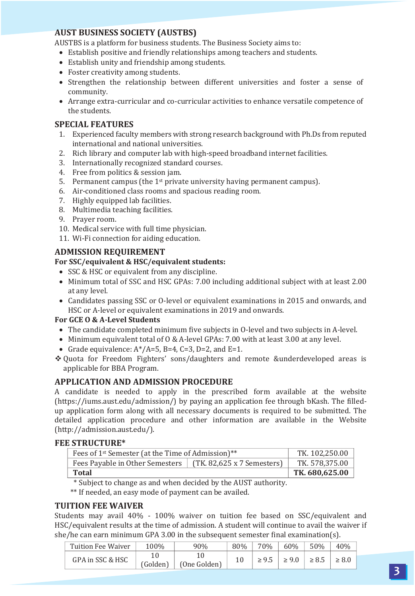#### **AUST BUSINESS SOCIETY (AUSTBS)**

AUSTBS is a platform for business students. The Business Society aims to:

- Establish positive and friendly relationships among teachers and students.
- Establish unity and friendship among students.
- Foster creativity among students.
- Strengthen the relationship between different universities and foster a sense of community.
- Arrange extra-curricular and co-curricular activities to enhance versatile competence of the students.

#### **SPECIAL FEATURES**

- 1. Experienced faculty members with strong research background with Ph.Ds from reputed international and national universities.
- 2. Rich library and computer lab with high-speed broadband internet facilities.
- 3. Internationally recognized standard courses.
- 4. Free from politics & session jam.
- 5. Permanent campus (the  $1<sup>st</sup>$  private university having permanent campus).
- 6. Air-conditioned class rooms and spacious reading room.
- 7. Highly equipped lab facilities.
- 8. Multimedia teaching facilities.
- 9. Prayer room.
- 10. Medical service with full time physician.
- 11. Wi-Fi connection for aiding education.

#### **ADMISSION REQUIREMENT**

#### **For SSC/equivalent & HSC/equivalent students:**

- SSC & HSC or equivalent from any discipline.
- Minimum total of SSC and HSC GPAs: 7.00 including additional subject with at least 2.00 at any level.
- Candidates passing SSC or O-level or equivalent examinations in 2015 and onwards, and HSC or A-level or equivalent examinations in 2019 and onwards.

#### **For GCE O & A-Level Students**

- The candidate completed minimum five subjects in O-level and two subjects in A-level.
- Minimum equivalent total of O & A-level GPAs: 7.00 with at least 3.00 at any level.
- Grade equivalence:  $A^*/A=5$ , B=4, C=3, D=2, and E=1.
- Quota for Freedom Fighters' sons/daughters and remote &underdeveloped areas is applicable for BBA Program.

#### **APPLICATION AND ADMISSION PROCEDURE**

A candidate is needed to apply in the prescribed form available at the website (https://iums.aust.edu/admission/) by paying an application fee through bKash. The �illedup application form along with all necessary documents is required to be submitted. The detailed application procedure and other information are available in the Website (http://admission.aust.edu/).

#### **FEE STRUCTURE\***

| Fees of 1 <sup>st</sup> Semester (at the Time of Admission)** | TK. 102,250.00 |                |
|---------------------------------------------------------------|----------------|----------------|
| Fees Payable in Other Semesters   (TK. 82,625 x 7 Semesters)  |                | TK. 578,375.00 |
| Total                                                         |                | TK. 680,625.00 |
|                                                               |                |                |

\* Subject to change as and when decided by the AUST authority.

\*\* If needed, an easy mode of payment can be availed.

#### **TUITION FEE WAIVER**

Students may avail 40% - 100% waiver on tuition fee based on SSC/equivalent and HSC/equivalent results at the time of admission. A student will continue to avail the waiver if she/he can earn minimum GPA 3.00 in the subsequent semester final examination(s).

| Tuition Fee Waiver | 100%     | 90%          | 80% | 70% | 60%        | 50%        | 40%        |
|--------------------|----------|--------------|-----|-----|------------|------------|------------|
| GPA in SSC & HSC   |          |              |     |     | $\geq 9.0$ | $\geq 8.5$ | $\geq 8.0$ |
|                    | (Golden) | (One Golden) |     |     |            |            |            |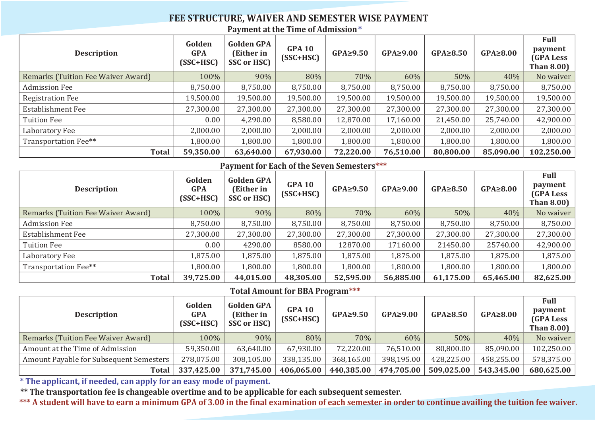#### **FEE STRUCTURE, WAIVER AND SEMESTER WISE PAYMENT Payment at the Time of Admission\***

| <b>Description</b>                 | Golden<br><b>GPA</b><br>$(SSC+HSC)$ | <b>Golden GPA</b><br>(Either in<br>SSC or HSC) | <b>GPA 10</b><br>$(SSC+HSC)$ | $GPA \geq 9.50$ | $GPA \geq 9.00$ | $GPA \geq 8.50$ | $GPA \geq 8.00$ | Full<br>payment<br>(GPA Less<br><b>Than 8.00)</b> |
|------------------------------------|-------------------------------------|------------------------------------------------|------------------------------|-----------------|-----------------|-----------------|-----------------|---------------------------------------------------|
| Remarks (Tuition Fee Waiver Award) | 100%                                | 90%                                            | 80%                          | 70%             | 60%             | 50%             | 40%             | No waiver                                         |
| Admission Fee                      | 8,750.00                            | 8,750.00                                       | 8,750.00                     | 8,750.00        | 8,750.00        | 8,750.00        | 8,750.00        | 8,750.00                                          |
| <b>Registration Fee</b>            | 19.500.00                           | 19,500.00                                      | 19.500.00                    | 19,500.00       | 19,500.00       | 19.500.00       | 19,500.00       | 19,500.00                                         |
| Establishment Fee                  | 27,300.00                           | 27,300.00                                      | 27,300.00                    | 27,300.00       | 27,300.00       | 27,300.00       | 27,300.00       | 27,300.00                                         |
| Tuition Fee                        | 0.00                                | 4,290.00                                       | 8,580.00                     | 12,870.00       | 17,160.00       | 21,450.00       | 25,740.00       | 42,900.00                                         |
| Laboratory Fee                     | 2.000.00                            | 2,000.00                                       | 2,000.00                     | 2,000.00        | 2,000.00        | 2,000.00        | 2,000.00        | 2,000.00                                          |
| Transportation Fee**               | 1.800.00                            | 1,800.00                                       | 1,800.00                     | 1,800.00        | 1,800.00        | 1,800.00        | 1,800.00        | 1,800.00                                          |
| Total                              | 59,350.00                           | 63,640.00                                      | 67,930.00                    | 72.220.00       | 76,510.00       | 80,800.00       | 85.090.00       | 102,250.00                                        |

#### **Payment for Each of the Seven Semesters\*\*\***

| <b>Description</b>                 | Golden<br><b>GPA</b><br>$(SSC+HSC)$ | <b>Golden GPA</b><br>(Either in<br>SSC or HSC) | <b>GPA 10</b><br>$(SSC+HSC)$ | $GPA \geq 9.50$ | $GPA \geq 9.00$ | $GPA \geq 8.50$ | $GPA \geq 8.00$ | Full<br>payment<br>(GPA Less<br><b>Than 8.00)</b> |
|------------------------------------|-------------------------------------|------------------------------------------------|------------------------------|-----------------|-----------------|-----------------|-----------------|---------------------------------------------------|
| Remarks (Tuition Fee Waiver Award) | 100%                                | 90%                                            | 80%                          | 70%             | 60%             | 50%             | 40%             | No waiver                                         |
| Admission Fee                      | 8.750.00                            | 8,750.00                                       | 8.750.00                     | 8,750.00        | 8.750.00        | 8.750.00        | 8,750.00        | 8,750.00                                          |
| Establishment Fee                  | 27.300.00                           | 27,300.00                                      | 27.300.00                    | 27.300.00       | 27,300.00       | 27.300.00       | 27.300.00       | 27,300.00                                         |
| Tuition Fee                        | 0.00                                | 4290.00                                        | 8580.00                      | 12870.00        | 17160.00        | 21450.00        | 25740.00        | 42,900.00                                         |
| Laboratory Fee                     | 1.875.00                            | 1,875.00                                       | 1,875.00                     | 1,875.00        | 1,875.00        | 1,875.00        | 1,875.00        | 1,875.00                                          |
| Transportation Fee**               | 1.800.00                            | 1,800.00                                       | 1,800.00                     | 1,800.00        | 1,800.00        | 1.800.00        | 1,800.00        | 1,800.00                                          |
| <b>Total</b>                       | 39.725.00                           | 44,015.00                                      | 48,305.00                    | 52.595.00       | 56,885.00       | 61,175.00       | 65.465.00       | 82,625.00                                         |

### **Total Amount for BBA Program\*\*\***

| <b>Description</b>                      | Golden<br><b>GPA</b><br>$(SSC+HSC)$ | <b>Golden GPA</b><br>(Either in<br><b>SSC or HSC)</b> | <b>GPA 10</b><br>$(SSC+HSC)$ | $GPA \geq 9.50$ | $GPA \geq 9.00$ | $GPA \geq 8.50$ | $GPA \geq 8.00$ | Full<br>payment<br><b>(GPA Less</b><br>Than 8.00) $\vert$ |
|-----------------------------------------|-------------------------------------|-------------------------------------------------------|------------------------------|-----------------|-----------------|-----------------|-----------------|-----------------------------------------------------------|
| Remarks (Tuition Fee Waiver Award)      | 100%                                | 90%                                                   | 80%                          | 70%             | 60%             | 50%             | 40%             | No waiver                                                 |
| Amount at the Time of Admission         | 59.350.00                           | 63.640.00                                             | 67.930.00                    | 72.220.00       | 76.510.00       | 80.800.00       | 85.090.00       | 102.250.00                                                |
| Amount Payable for Subsequent Semesters | 278.075.00                          | 308.105.00                                            | 338.135.00                   | 368.165.00      | 398.195.00      | 428.225.00      | 458,255.00      | 578,375.00                                                |
| Total                                   | 337.425.00                          | 371.745.00                                            | 406.065.00                   | 440.385.00      | 474.705.00      | 509.025.00      | 543.345.00      | 680.625.00                                                |

**\* The applicant, if needed, can apply for an easy mode of payment.** 

**\*\* The transportation fee is changeable overtime and to be applicable for each subsequent semester.**

\*\*\* A student will have to earn a minimum GPA of 3.00 in the final examination of each semester in order to continue availing the tuition fee waiver.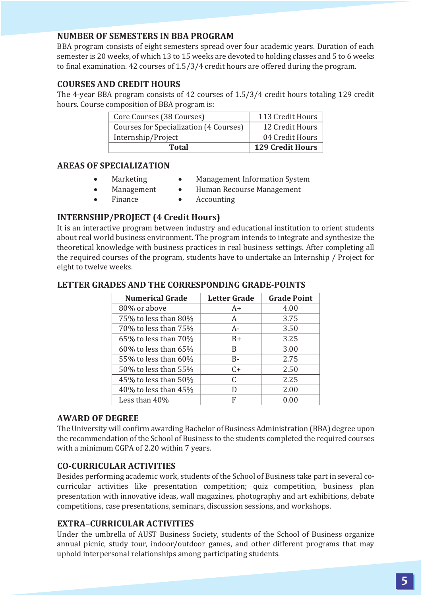#### **NUMBER OF SEMESTERS IN BBA PROGRAM**

BBA program consists of eight semesters spread over four academic years. Duration of each semester is 20 weeks, of which 13 to 15 weeks are devoted to holding classes and 5 to 6 weeks to �inal examination. 42 courses of 1.5/3/4 credit hours are offered during the program.

#### **COURSES AND CREDIT HOURS**

The 4-year BBA program consists of 42 courses of 1.5/3/4 credit hours totaling 129 credit hours. Course composition of BBA program is:

| Core Courses (38 Courses)              | 113 Credit Hours        |
|----------------------------------------|-------------------------|
| Courses for Specialization (4 Courses) | 12 Credit Hours         |
| Internship/Project                     | 04 Credit Hours         |
| Total                                  | <b>129 Credit Hours</b> |

#### **AREAS OF SPECIALIZATION**

- Marketing
- Management Information System
- Management
- Human Recourse Management
- Finance
- Accounting

#### **INTERNSHIP/PROJECT (4 Credit Hours)**

It is an interactive program between industry and educational institution to orient students about real world business environment. The program intends to integrate and synthesize the theoretical knowledge with business practices in real business settings. After completing all the required courses of the program, students have to undertake an Internship / Project for eight to twelve weeks.

| <b>Numerical Grade</b>     | <b>Letter Grade</b> | <b>Grade Point</b> |
|----------------------------|---------------------|--------------------|
| 80% or above               | $A+$                | 4.00               |
| 75% to less than 80%       | А                   | 3.75               |
| 70% to less than 75%       | $A -$               | 3.50               |
| $65\%$ to less than $70\%$ | $B+$                | 3.25               |
| $60\%$ to less than $65\%$ | B                   | 3.00               |
| 55% to less than 60%       | $B -$               | 2.75               |
| 50% to less than 55%       | $C+$                | 2.50               |
| 45% to less than 50%       | C                   | 2.25               |
| $40\%$ to less than $45\%$ | D                   | 2.00               |
| Less than 40%              | F                   | 0.00               |

#### **LETTER GRADES AND THE CORRESPONDING GRADE-POINTS**

#### **AWARD OF DEGREE**

The University will con�irm awarding Bachelor of Business Administration (BBA) degree upon the recommendation of the School of Business to the students completed the required courses with a minimum CGPA of 2.20 within 7 years.

#### **CO-CURRICULAR ACTIVITIES**

Besides performing academic work, students of the School of Business take part in several cocurricular activities like presentation competition; quiz competition, business plan presentation with innovative ideas, wall magazines, photography and art exhibitions, debate competitions, case presentations, seminars, discussion sessions, and workshops.

#### **EXTRA–CURRICULAR ACTIVITIES**

Under the umbrella of AUST Business Society, students of the School of Business organize annual picnic, study tour, indoor/outdoor games, and other different programs that may uphold interpersonal relationships among participating students.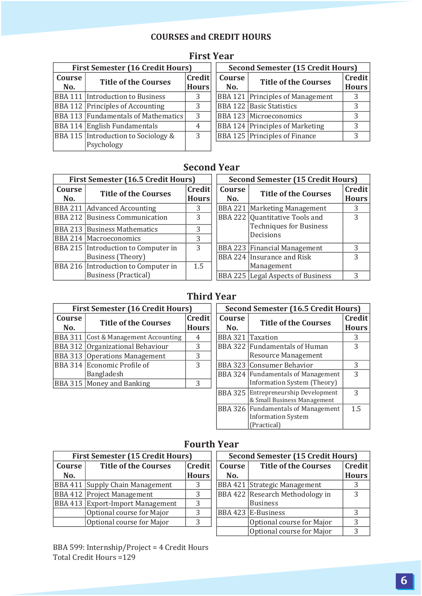## **COURSES and CREDIT HOURS**

|               | <b>First Semester (16 Credit Hours)</b>           |                        | Second Semester (15 Credit Hours) |                                         |            |
|---------------|---------------------------------------------------|------------------------|-----------------------------------|-----------------------------------------|------------|
| Course<br>No. | <b>Title of the Courses</b>                       | Credit<br><b>Hours</b> | Course<br>No.                     | <b>Title of the Courses</b>             | Cre<br>Hot |
|               | <b>BBA 111 Introduction to Business</b>           | 3                      |                                   | <b>BBA 121 Principles of Management</b> | -3         |
|               | BBA 112 Principles of Accounting                  | 3                      |                                   | BBA 122 Basic Statistics                | 3          |
|               | BBA 113 Fundamentals of Mathematics               | 3                      |                                   | BBA 123 Microeconomics                  | 3          |
|               | BBA 114 English Fundamentals                      | 4                      |                                   | <b>BBA 124 Principles of Marketing</b>  | 3          |
|               | BBA 115 Introduction to Sociology &<br>Psychology | 3                      |                                   | <b>BBA 125 Principles of Finance</b>    | 3          |

# **First Year**

|     | First Semester (16 Credit Hours) |              | Second Semester (15 Credit Hours) |                                      |              |  |  |
|-----|----------------------------------|--------------|-----------------------------------|--------------------------------------|--------------|--|--|
| :se | <b>Title of the Courses</b>      | Credit       | Course                            | <b>Title of the Courses</b>          | Credit       |  |  |
| ı.  |                                  | <b>Hours</b> | No.                               |                                      | <b>Hours</b> |  |  |
|     | 111 Introduction to Business     | 3            |                                   | BBA 121 Principles of Management     |              |  |  |
|     | 12 Principles of Accounting      | 3            |                                   | <b>BBA 122 Basic Statistics</b>      |              |  |  |
|     | [13] Fundamentals of Mathematics | 3            |                                   | BBA 123 Microeconomics               |              |  |  |
|     | 114 English Fundamentals         |              |                                   | BBA 124 Principles of Marketing      |              |  |  |
|     | 15 Introduction to Sociology &   | 3            |                                   | <b>BBA 125 Principles of Finance</b> |              |  |  |
|     |                                  |              |                                   |                                      |              |  |  |

# **Second Year**

|        | First Semester (16.5 Credit Hours)                    |     |        | Second Semester (15 Credit Hours) |     |
|--------|-------------------------------------------------------|-----|--------|-----------------------------------|-----|
| Course | Credit<br><b>Title of the Courses</b><br><b>Hours</b> |     | Course | <b>Title of the Courses</b>       | Cre |
| No.    |                                                       |     | No.    |                                   | Hot |
|        | BBA 211 Advanced Accounting                           | 3   |        | BBA 221   Marketing Management    | 3   |
|        | <b>BBA 212 Business Communication</b>                 | 3   |        | BBA 222 Quantitative Tools and    | 3   |
|        | <b>BBA 213 Business Mathematics</b>                   | 3   |        | <b>Techniques for Business</b>    |     |
|        | BBA 214 Macroeconomics                                | 3   |        | Decisions                         |     |
|        | BBA 215 Introduction to Computer in                   | 3   |        | BBA 223   Financial Management    | 3   |
|        | Business (Theory)                                     |     |        | BBA 224 Insurance and Risk        | 3   |
|        | BBA 216 Introduction to Computer in                   | 1.5 |        | Management                        |     |
|        | Business (Practical)                                  |     |        | BBA 225 Legal Aspects of Business | 3   |

|     | First Semester (16.5 Credit Hours) |              | Second Semester (15 Credit Hours) |                                          |              |  |  |
|-----|------------------------------------|--------------|-----------------------------------|------------------------------------------|--------------|--|--|
| rse | <b>Title of the Courses</b>        | Credit       | Course                            | <b>Title of the Courses</b>              | Credit       |  |  |
| 0.  |                                    | <b>Hours</b> | No.                               |                                          | <b>Hours</b> |  |  |
|     | 211 Advanced Accounting            | 3            |                                   | BBA 221   Marketing Management           |              |  |  |
|     | 212 Business Communication         | 3            |                                   | BBA 222 Quantitative Tools and           | 3            |  |  |
|     | 213 Business Mathematics           | 3            |                                   | <b>Techniques for Business</b>           |              |  |  |
|     | 214 Macroeconomics                 | 3            |                                   | Decisions                                |              |  |  |
|     | 215 Introduction to Computer in    | 3            |                                   | <b>BBA 223 Financial Management</b>      | 3            |  |  |
|     | Business (Theory)                  |              |                                   | BBA 224 Insurance and Risk               | ζ            |  |  |
|     | 216 Introduction to Computer in    | 1.5          |                                   | Management                               |              |  |  |
|     | Business (Practical)               |              |                                   | <b>BBA 225 Legal Aspects of Business</b> | ς            |  |  |

# **Third Year**

|        | <b>First Semester (16 Credit Hours)</b> |              | Second Semester (16.5 Credit Hours) |                                                 |               |
|--------|-----------------------------------------|--------------|-------------------------------------|-------------------------------------------------|---------------|
| Course | <b>Title of the Courses</b>             | Credit       | Course                              | <b>Title of the Courses</b>                     | Cre           |
| No.    |                                         | <b>Hours</b> | No.                                 |                                                 | Hot           |
|        | BBA 311 Cost & Management Accounting    | 4            |                                     | BBA 321 Taxation                                | 3             |
|        | BBA 312 Organizational Behaviour        | 3            |                                     | BBA 322 Fundamentals of Human                   | 3             |
|        | <b>BBA 313 Operations Management</b>    | 3            |                                     | <b>Resource Management</b>                      |               |
|        | BBA 314 Economic Profile of             | 3            |                                     | BBA 323 Consumer Behavior                       | 3             |
|        | Bangladesh                              |              |                                     | BBA 324 Fundamentals of Management              | $\mathcal{R}$ |
|        | BBA 315 Money and Banking               | 3            |                                     | Information System (Theory)                     |               |
|        |                                         |              |                                     | <b>BBI 005 Future in the Books of the State</b> | $\sim$        |

|           | First Semester (16 Credit Hours) |                        | Second Semester (16.5 Credit Hours) |                                                                     |                        |  |
|-----------|----------------------------------|------------------------|-------------------------------------|---------------------------------------------------------------------|------------------------|--|
| se.<br>ı. | <b>Title of the Courses</b>      | Credit<br><b>Hours</b> | Course<br>No.                       | <b>Title of the Courses</b>                                         | Credit<br><b>Hours</b> |  |
| 311       | Cost & Management Accounting     | 4                      | BBA 321 Taxation                    |                                                                     | 3                      |  |
|           | 312 Organizational Behaviour     | 3                      |                                     | BBA 322 Fundamentals of Human                                       | 3                      |  |
| 313 I     | <b>Operations Management</b>     | 3                      |                                     | Resource Management                                                 |                        |  |
|           | 314  Economic Profile of         | 3                      |                                     | BBA 323 Consumer Behavior                                           | 3                      |  |
|           | Bangladesh                       |                        |                                     | BBA 324 Fundamentals of Management                                  | 3                      |  |
|           | 315 Money and Banking            | 3                      |                                     | Information System (Theory)                                         |                        |  |
|           |                                  |                        |                                     | BBA 325 Entrepreneurship Development<br>& Small Business Management | 3                      |  |
|           |                                  |                        |                                     | BBA 326 Fundamentals of Management                                  | 1.5                    |  |
|           |                                  |                        |                                     | <b>Information System</b>                                           |                        |  |
|           |                                  |                        |                                     | (Practical)                                                         |                        |  |

# **Fourth Year**

|                                       | <b>First Semester (15 Credit Hours)</b> | Second Semester (15 Credit Hours) |        |                                 |              |
|---------------------------------------|-----------------------------------------|-----------------------------------|--------|---------------------------------|--------------|
| <b>Title of the Courses</b><br>Course |                                         | Credit                            | Course | <b>Title of the Courses</b>     | Credit       |
| No.                                   |                                         | <b>Hours</b>                      | No.    |                                 | <b>Hours</b> |
|                                       | BBA 411 Supply Chain Management         | 3                                 |        | BBA 421 Strategic Management    |              |
|                                       | <b>BBA 412 Project Management</b>       | 3                                 |        | BBA 422 Research Methodology in | ς            |
|                                       | BBA 413 Export-Import Management        | 3                                 |        | <b>Business</b>                 |              |
|                                       | Optional course for Major               | 3                                 |        | BBA 423 E-Business              |              |
|                                       | Optional course for Major               | 3                                 |        | Optional course for Major       | 3            |
|                                       |                                         |                                   |        | Optional course for Major       | 3            |

BBA 599: Internship/Project = 4 Credit Hours Total Credit Hours =129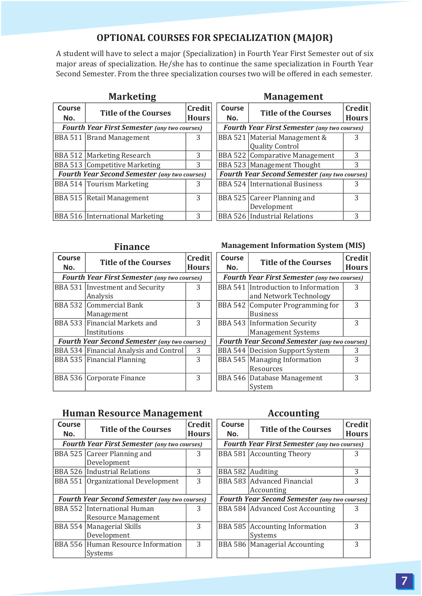## **OPTIONAL COURSES FOR SPECIALIZATION (MAJOR)**

A student will have to select a major (Specialization) in Fourth Year First Semester out of six major areas of specialization. He/she has to continue the same specialization in Fourth Year Second Semester. From the three specialization courses two will be offered in each semester.

| Course<br>No.                                        | <b>Title of the Courses</b>                         | Credit<br><b>Hours</b> |  | Course<br>No. | <b>Title of the Courses</b>                             | Credit<br><b>Hours</b> |
|------------------------------------------------------|-----------------------------------------------------|------------------------|--|---------------|---------------------------------------------------------|------------------------|
|                                                      | <b>Fourth Year First Semester (any two courses)</b> |                        |  |               | <b>Fourth Year First Semester (any two courses)</b>     |                        |
|                                                      | <b>BBA 511 Brand Management</b>                     | 3                      |  |               | BBA 521 Material Management &<br><b>Quality Control</b> | 3                      |
|                                                      | BBA 512   Marketing Research                        | 3                      |  |               | BBA 522 Comparative Management                          | 3                      |
|                                                      | BBA 513 Competitive Marketing                       | 3                      |  |               | BBA 523   Management Thought                            | 3                      |
| <b>Fourth Year Second Semester (any two courses)</b> |                                                     |                        |  |               | Fourth Year Second Semester (any two courses)           |                        |
|                                                      | <b>BBA 514 Tourism Marketing</b>                    | 3                      |  |               | <b>BBA 524 International Business</b>                   |                        |
|                                                      | BBA 515   Retail Management                         | 3                      |  |               | BBA 525 Career Planning and<br>Development              | 3                      |
|                                                      | <b>BBA 516 International Marketing</b>              | 3                      |  |               | <b>BBA 526 Industrial Relations</b>                     | 3                      |

### **Marketing Management**

| Course<br>No.                                       | <b>Title of the Courses</b>                          |   |  |  |  |  |
|-----------------------------------------------------|------------------------------------------------------|---|--|--|--|--|
| <b>Fourth Year First Semester (any two courses)</b> |                                                      |   |  |  |  |  |
|                                                     | BBA 521   Material Management &                      | 3 |  |  |  |  |
|                                                     | <b>Quality Control</b>                               |   |  |  |  |  |
|                                                     | <b>BBA 522 Comparative Management</b>                | 3 |  |  |  |  |
|                                                     | BBA 523 Management Thought                           | 3 |  |  |  |  |
|                                                     | <b>Fourth Year Second Semester (any two courses)</b> |   |  |  |  |  |
|                                                     | <b>BBA 524 International Business</b>                | 3 |  |  |  |  |
|                                                     | BBA 525 Career Planning and                          | 3 |  |  |  |  |
|                                                     | Development                                          |   |  |  |  |  |
|                                                     | <b>BBA 526 Industrial Relations</b>                  | 3 |  |  |  |  |

| Course<br>No.                                        | <b>Title of the Courses</b>                        | Credit<br><b>Hours</b> | Course<br>No. | <b>Title of the Courses</b>                                   | Credit<br>Hours |
|------------------------------------------------------|----------------------------------------------------|------------------------|---------------|---------------------------------------------------------------|-----------------|
| <b>Fourth Year First Semester (any two courses)</b>  |                                                    |                        |               | <b>Fourth Year First Semester (any two courses)</b>           |                 |
|                                                      | <b>BBA 531 Investment and Security</b><br>Analysis | 3                      |               | BBA 541 Introduction to Information<br>and Network Technology | 3               |
|                                                      |                                                    |                        |               |                                                               |                 |
|                                                      | BBA 532 Commercial Bank                            | 3                      |               | BBA 542 Computer Programming for                              | 3               |
|                                                      | Management                                         |                        |               | <b>Business</b>                                               |                 |
|                                                      | BBA 533  Financial Markets and                     | 3                      |               | <b>BBA 543 Information Security</b>                           | 3               |
|                                                      | Institutions                                       |                        |               | <b>Management Systems</b>                                     |                 |
| <b>Fourth Year Second Semester (any two courses)</b> |                                                    |                        |               | <b>Fourth Year Second Semester (any two courses)</b>          |                 |
|                                                      | BBA 534 Financial Analysis and Control             | 3                      |               | BBA 544   Decision Support System                             | 3               |
|                                                      | BBA 535 Financial Planning                         | 3                      |               | BBA 545   Managing Information                                | 3               |
|                                                      |                                                    |                        |               | Resources                                                     |                 |
|                                                      | BBA 536 Corporate Finance                          | 3                      |               | BBA 546 Database Management                                   | 3               |
|                                                      |                                                    |                        |               | System                                                        |                 |
|                                                      |                                                    |                        |               |                                                               |                 |

#### **Finance Management Information System (MIS)**

| edit<br>urs             | Course<br>No. | <b>Title of the Courses</b>                                      | Credit<br><b>Hours</b> |
|-------------------------|---------------|------------------------------------------------------------------|------------------------|
| :s)                     |               | <b>Fourth Year First Semester (any two courses)</b>              |                        |
| 3                       |               | BBA 541 Introduction to Information<br>and Network Technology    | 3                      |
| 3                       |               | BBA 542 Computer Programming for<br><b>Business</b>              | 3                      |
| 3                       |               | <b>BBA 543 Information Security</b><br><b>Management Systems</b> | 3                      |
| ses)                    |               | <b>Fourth Year Second Semester (any two courses)</b>             |                        |
| 3                       |               | <b>BBA 544   Decision Support System</b>                         | 3                      |
| $\overline{\mathbf{3}}$ |               | BBA 545   Managing Information<br>Resources                      | 3                      |
| 3                       |               | BBA 546 Database Management<br>System                            | 3                      |

### **Human Resource Management Accounting**

|               | ິ                                                    |                        |               | ິ                                                    |                 |
|---------------|------------------------------------------------------|------------------------|---------------|------------------------------------------------------|-----------------|
| Course<br>No. | <b>Title of the Courses</b>                          | Credit<br><b>Hours</b> | Course<br>No. | <b>Title of the Courses</b>                          | Credit<br>Hours |
|               | <b>Fourth Year First Semester (any two courses)</b>  |                        |               | <b>Fourth Year First Semester (any two courses)</b>  |                 |
|               | BBA 525 Career Planning and                          | 3                      |               | BBA 581 Accounting Theory                            |                 |
|               | Development                                          |                        |               |                                                      |                 |
|               | BBA 526 Industrial Relations                         | 3                      |               | BBA 582 Auditing                                     | 3               |
|               | BBA 551 Organizational Development                   | 3                      |               | BBA 583 Advanced Financial                           | 3               |
|               |                                                      |                        |               | Accounting                                           |                 |
|               | <b>Fourth Year Second Semester (any two courses)</b> |                        |               | <b>Fourth Year Second Semester (any two courses)</b> |                 |
|               | BBA 552 International Human                          | 3                      |               | BBA 584 Advanced Cost Accounting                     | 3               |
|               | <b>Resource Management</b>                           |                        |               |                                                      |                 |
|               | BBA 554   Managerial Skills                          | 3                      |               | BBA 585 Accounting Information                       | 3               |
|               | Development                                          |                        |               | Systems                                              |                 |
|               | BBA 556 Human Resource Information                   | 3                      |               | BBA 586   Managerial Accounting                      | 3               |
|               | Systems                                              |                        |               |                                                      |                 |
|               |                                                      |                        |               |                                                      |                 |

| edit<br>urs             | Course<br>No. | <b>Title of the Courses</b>                          | Credit<br><b>Hours</b> |
|-------------------------|---------------|------------------------------------------------------|------------------------|
| :s)                     |               | <b>Fourth Year First Semester (any two courses)</b>  |                        |
| $\overline{\mathbf{3}}$ |               | BBA 581 Accounting Theory                            |                        |
| $\frac{3}{3}$           |               | BBA 582 Auditing                                     | 3                      |
|                         |               | BBA 583 Advanced Financial                           | 3                      |
|                         |               | Accounting                                           |                        |
| ses)                    |               | <b>Fourth Year Second Semester (any two courses)</b> |                        |
| 3                       |               | BBA 584 Advanced Cost Accounting                     | 3                      |
| $\overline{3}$          |               | BBA 585   Accounting Information<br>Systems          | 3                      |
| 3                       |               | BBA 586   Managerial Accounting                      | 3                      |